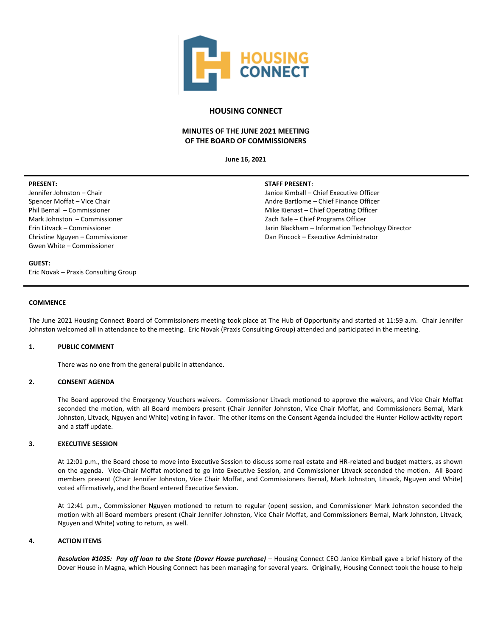

# **HOUSING CONNECT**

# **MINUTES OF THE JUNE 2021 MEETING OF THE BOARD OF COMMISSIONERS**

**June 16, 2021**

#### **PRESENT:**

Jennifer Johnston – Chair Spencer Moffat – Vice Chair Phil Bernal – Commissioner Mark Johnston – Commissioner Erin Litvack – Commissioner Christine Nguyen – Commissioner Gwen White – Commissioner

#### **STAFF PRESENT**:

Janice Kimball – Chief Executive Officer Andre Bartlome – Chief Finance Officer Mike Kienast – Chief Operating Officer Zach Bale – Chief Programs Officer Jarin Blackham – Information Technology Director Dan Pincock – Executive Administrator

# **GUEST:**

Eric Novak – Praxis Consulting Group

#### **COMMENCE**

The June 2021 Housing Connect Board of Commissioners meeting took place at The Hub of Opportunity and started at 11:59 a.m. Chair Jennifer Johnston welcomed all in attendance to the meeting. Eric Novak (Praxis Consulting Group) attended and participated in the meeting.

# **1. PUBLIC COMMENT**

There was no one from the general public in attendance.

#### **2. CONSENT AGENDA**

The Board approved the Emergency Vouchers waivers. Commissioner Litvack motioned to approve the waivers, and Vice Chair Moffat seconded the motion, with all Board members present (Chair Jennifer Johnston, Vice Chair Moffat, and Commissioners Bernal, Mark Johnston, Litvack, Nguyen and White) voting in favor. The other items on the Consent Agenda included the Hunter Hollow activity report and a staff update.

# **3. EXECUTIVE SESSION**

At 12:01 p.m., the Board chose to move into Executive Session to discuss some real estate and HR-related and budget matters, as shown on the agenda. Vice-Chair Moffat motioned to go into Executive Session, and Commissioner Litvack seconded the motion. All Board members present (Chair Jennifer Johnston, Vice Chair Moffat, and Commissioners Bernal, Mark Johnston, Litvack, Nguyen and White) voted affirmatively, and the Board entered Executive Session.

At 12:41 p.m., Commissioner Nguyen motioned to return to regular (open) session, and Commissioner Mark Johnston seconded the motion with all Board members present (Chair Jennifer Johnston, Vice Chair Moffat, and Commissioners Bernal, Mark Johnston, Litvack, Nguyen and White) voting to return, as well.

# **4. ACTION ITEMS**

*Resolution #1035: Pay off loan to the State (Dover House purchase)* – Housing Connect CEO Janice Kimball gave a brief history of the Dover House in Magna, which Housing Connect has been managing for several years. Originally, Housing Connect took the house to help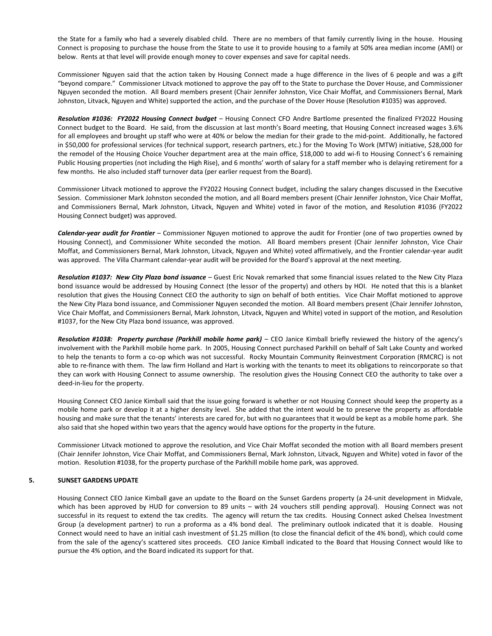the State for a family who had a severely disabled child. There are no members of that family currently living in the house. Housing Connect is proposing to purchase the house from the State to use it to provide housing to a family at 50% area median income (AMI) or below. Rents at that level will provide enough money to cover expenses and save for capital needs.

Commissioner Nguyen said that the action taken by Housing Connect made a huge difference in the lives of 6 people and was a gift "beyond compare." Commissioner Litvack motioned to approve the pay off to the State to purchase the Dover House, and Commissioner Nguyen seconded the motion. All Board members present (Chair Jennifer Johnston, Vice Chair Moffat, and Commissioners Bernal, Mark Johnston, Litvack, Nguyen and White) supported the action, and the purchase of the Dover House (Resolution #1035) was approved.

*Resolution #1036: FY2022 Housing Connect budget* – Housing Connect CFO Andre Bartlome presented the finalized FY2022 Housing Connect budget to the Board. He said, from the discussion at last month's Board meeting, that Housing Connect increased wages 3.6% for all employees and brought up staff who were at 40% or below the median for their grade to the mid-point. Additionally, he factored in \$50,000 for professional services (for technical support, research partners, etc.) for the Moving To Work (MTW) initiative, \$28,000 for the remodel of the Housing Choice Voucher department area at the main office, \$18,000 to add wi-fi to Housing Connect's 6 remaining Public Housing properties (not including the High Rise), and 6 months' worth of salary for a staff member who is delaying retirement for a few months. He also included staff turnover data (per earlier request from the Board).

Commissioner Litvack motioned to approve the FY2022 Housing Connect budget, including the salary changes discussed in the Executive Session. Commissioner Mark Johnston seconded the motion, and all Board members present (Chair Jennifer Johnston, Vice Chair Moffat, and Commissioners Bernal, Mark Johnston, Litvack, Nguyen and White) voted in favor of the motion, and Resolution #1036 (FY2022 Housing Connect budget) was approved.

*Calendar-year audit for Frontier* – Commissioner Nguyen motioned to approve the audit for Frontier (one of two properties owned by Housing Connect), and Commissioner White seconded the motion. All Board members present (Chair Jennifer Johnston, Vice Chair Moffat, and Commissioners Bernal, Mark Johnston, Litvack, Nguyen and White) voted affirmatively, and the Frontier calendar-year audit was approved. The Villa Charmant calendar-year audit will be provided for the Board's approval at the next meeting.

*Resolution #1037: New City Plaza bond issuance* – Guest Eric Novak remarked that some financial issues related to the New City Plaza bond issuance would be addressed by Housing Connect (the lessor of the property) and others by HOI. He noted that this is a blanket resolution that gives the Housing Connect CEO the authority to sign on behalf of both entities. Vice Chair Moffat motioned to approve the New City Plaza bond issuance, and Commissioner Nguyen seconded the motion. All Board members present (Chair Jennifer Johnston, Vice Chair Moffat, and Commissioners Bernal, Mark Johnston, Litvack, Nguyen and White) voted in support of the motion, and Resolution #1037, for the New City Plaza bond issuance, was approved.

*Resolution #1038: Property purchase (Parkhill mobile home park)* – CEO Janice Kimball briefly reviewed the history of the agency's involvement with the Parkhill mobile home park. In 2005, Housing Connect purchased Parkhill on behalf of Salt Lake County and worked to help the tenants to form a co-op which was not successful. Rocky Mountain Community Reinvestment Corporation (RMCRC) is not able to re-finance with them. The law firm Holland and Hart is working with the tenants to meet its obligations to reincorporate so that they can work with Housing Connect to assume ownership. The resolution gives the Housing Connect CEO the authority to take over a deed-in-lieu for the property.

Housing Connect CEO Janice Kimball said that the issue going forward is whether or not Housing Connect should keep the property as a mobile home park or develop it at a higher density level. She added that the intent would be to preserve the property as affordable housing and make sure that the tenants' interests are cared for, but with no guarantees that it would be kept as a mobile home park. She also said that she hoped within two years that the agency would have options for the property in the future.

Commissioner Litvack motioned to approve the resolution, and Vice Chair Moffat seconded the motion with all Board members present (Chair Jennifer Johnston, Vice Chair Moffat, and Commissioners Bernal, Mark Johnston, Litvack, Nguyen and White) voted in favor of the motion. Resolution #1038, for the property purchase of the Parkhill mobile home park, was approved.

## **5. SUNSET GARDENS UPDATE**

Housing Connect CEO Janice Kimball gave an update to the Board on the Sunset Gardens property (a 24-unit development in Midvale, which has been approved by HUD for conversion to 89 units – with 24 vouchers still pending approval). Housing Connect was not successful in its request to extend the tax credits. The agency will return the tax credits. Housing Connect asked Chelsea Investment Group (a development partner) to run a proforma as a 4% bond deal. The preliminary outlook indicated that it is doable. Housing Connect would need to have an initial cash investment of \$1.25 million (to close the financial deficit of the 4% bond), which could come from the sale of the agency's scattered sites proceeds. CEO Janice Kimball indicated to the Board that Housing Connect would like to pursue the 4% option, and the Board indicated its support for that.